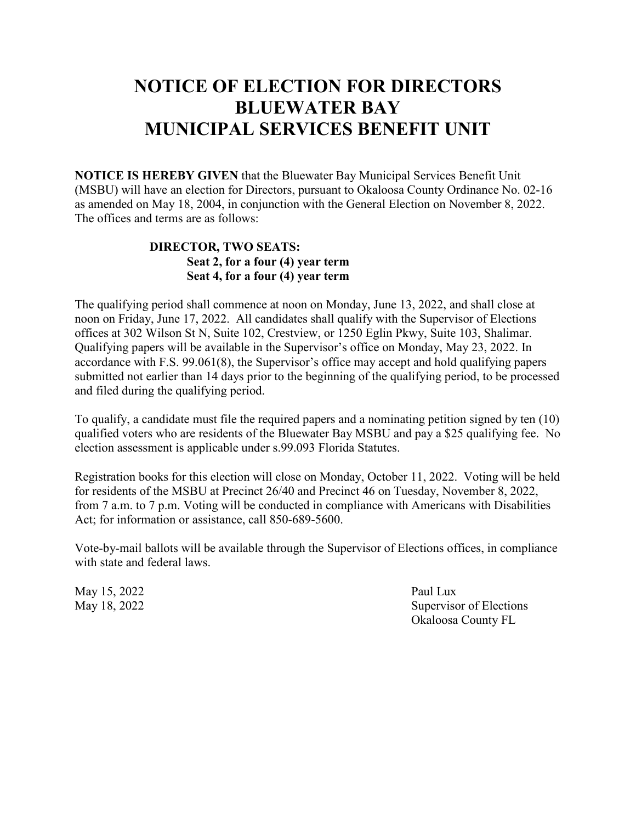## **NOTICE OF ELECTION FOR DIRECTORS BLUEWATER BAY MUNICIPAL SERVICES BENEFIT UNIT**

**NOTICE IS HEREBY GIVEN** that the Bluewater Bay Municipal Services Benefit Unit (MSBU) will have an election for Directors, pursuant to Okaloosa County Ordinance No. 02-16 as amended on May 18, 2004, in conjunction with the General Election on November 8, 2022. The offices and terms are as follows:

#### **DIRECTOR, TWO SEATS: Seat 2, for a four (4) year term Seat 4, for a four (4) year term**

The qualifying period shall commence at noon on Monday, June 13, 2022, and shall close at noon on Friday, June 17, 2022. All candidates shall qualify with the Supervisor of Elections offices at 302 Wilson St N, Suite 102, Crestview, or 1250 Eglin Pkwy, Suite 103, Shalimar. Qualifying papers will be available in the Supervisor's office on Monday, May 23, 2022. In accordance with F.S. 99.061(8), the Supervisor's office may accept and hold qualifying papers submitted not earlier than 14 days prior to the beginning of the qualifying period, to be processed and filed during the qualifying period.

To qualify, a candidate must file the required papers and a nominating petition signed by ten (10) qualified voters who are residents of the Bluewater Bay MSBU and pay a \$25 qualifying fee. No election assessment is applicable under s.99.093 Florida Statutes.

Registration books for this election will close on Monday, October 11, 2022. Voting will be held for residents of the MSBU at Precinct 26/40 and Precinct 46 on Tuesday, November 8, 2022, from 7 a.m. to 7 p.m. Voting will be conducted in compliance with Americans with Disabilities Act; for information or assistance, call 850-689-5600.

Vote-by-mail ballots will be available through the Supervisor of Elections offices, in compliance with state and federal laws.

May 15, 2022 Paul Lux

May 18, 2022 Supervisor of Elections Okaloosa County FL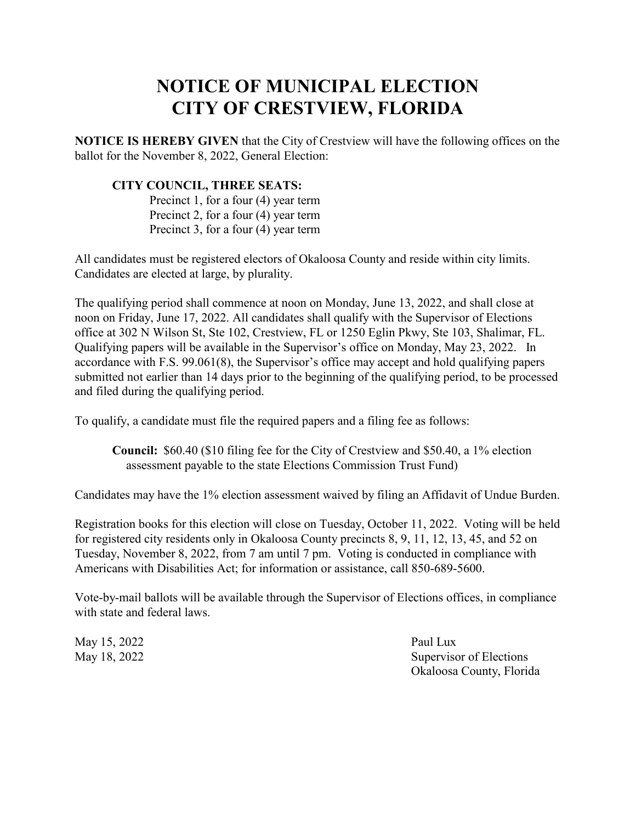### **NOTICE OF MUNICIPAL ELECTION CITY OF CRESTVIEW, FLORIDA**

**NOTICE IS HEREBY GIVEN** that the City of Crestview will have the following offices on the ballot for the November 8, 2022, General Election:

#### **CITY COUNCIL, THREE SEATS:**

Precinct 1, for a four (4) year term Precinct 2, for a four (4) year term Precinct 3, for a four (4) year term

All candidates must be registered electors of Okaloosa County and reside within city limits. Candidates are elected at large, by plurality.

The qualifying period shall commence at noon on Monday, June 13, 2022, and shall close at noon on Friday, June 17, 2022. All candidates shall qualify with the Supervisor of Elections office at 302 N Wilson St, Ste 102, Crestview, FL or 1250 Eglin Pkwy, Ste 103, Shalimar, FL. Qualifying papers will be available in the Supervisor's office on Monday, May 23, 2022. In accordance with F.S. 99.061(8), the Supervisor's office may accept and hold qualifying papers submitted not earlier than 14 days prior to the beginning of the qualifying period, to be processed and filed during the qualifying period.

To qualify, a candidate must file the required papers and a filing fee as follows:

**Council:** \$60.40 (\$10 filing fee for the City of Crestview and \$50.40, a 1% election assessment payable to the state Elections Commission Trust Fund)

Candidates may have the 1% election assessment waived by filing an Affidavit of Undue Burden.

Registration books for this election will close on Tuesday, October 11, 2022. Voting will be held for registered city residents only in Okaloosa County precincts 8, 9, 11, 12, 13, 45, and 52 on Tuesday, November 8, 2022, from 7 am until 7 pm. Voting is conducted in compliance with Americans with Disabilities Act; for information or assistance, call 850-689-5600.

Vote-by-mail ballots will be available through the Supervisor of Elections offices, in compliance with state and federal laws.

May 15, 2022 Paul Lux

May 18, 2022 Supervisor of Elections Okaloosa County, Florida